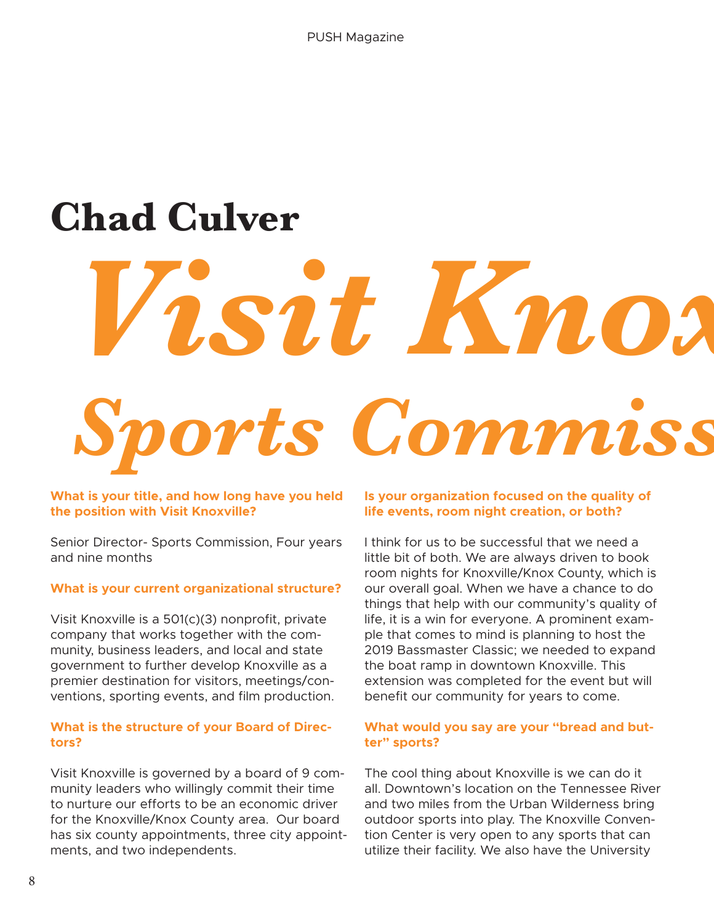# **Chad Culver**

# *Visit Knox Sports Commiss*

**What is your title, and how long have you held the position with Visit Knoxville?** 

Senior Director- Sports Commission, Four years and nine months

#### **What is your current organizational structure?**

Visit Knoxville is a 501(c)(3) nonprofit, private company that works together with the community, business leaders, and local and state government to further develop Knoxville as a premier destination for visitors, meetings/conventions, sporting events, and film production.

#### **What is the structure of your Board of Directors?**

Visit Knoxville is governed by a board of 9 community leaders who willingly commit their time to nurture our efforts to be an economic driver for the Knoxville/Knox County area. Our board has six county appointments, three city appointments, and two independents.

#### **Is your organization focused on the quality of life events, room night creation, or both?**

I think for us to be successful that we need a little bit of both. We are always driven to book room nights for Knoxville/Knox County, which is our overall goal. When we have a chance to do things that help with our community's quality of life, it is a win for everyone. A prominent example that comes to mind is planning to host the 2019 Bassmaster Classic; we needed to expand the boat ramp in downtown Knoxville. This extension was completed for the event but will benefit our community for years to come.

#### **What would you say are your "bread and butter" sports?**

The cool thing about Knoxville is we can do it all. Downtown's location on the Tennessee River and two miles from the Urban Wilderness bring outdoor sports into play. The Knoxville Convention Center is very open to any sports that can utilize their facility. We also have the University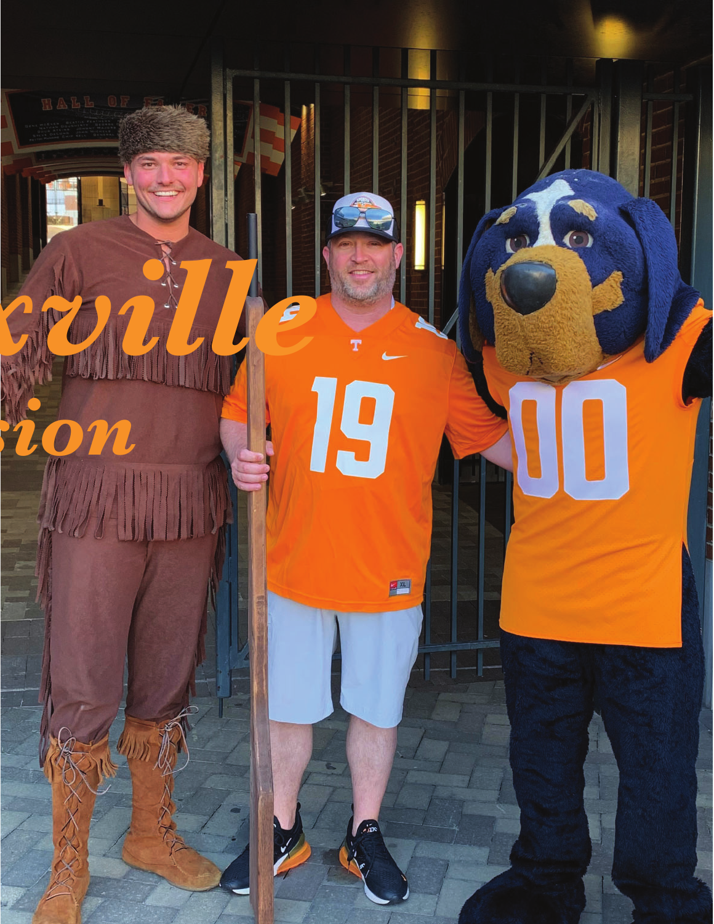